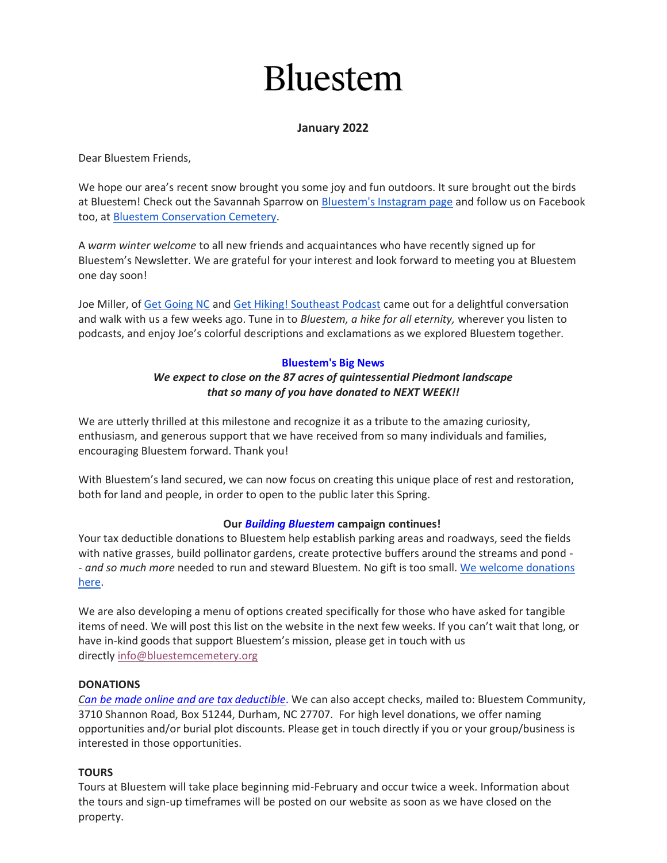# **Bluestem**

## **January 2022**

Dear Bluestem Friends,

We hope our area's recent snow brought you some joy and fun outdoors. It sure brought out the birds at Bluestem! Check out the Savannah Sparrow on [Bluestem's Instagram page](https://www.instagram.com/bluestemcemetery/) and follow us on Facebook too, at [Bluestem Conservation Cemetery.](https://www.facebook.com/BluestemConservationCemetery/)

A *warm winter welcome* to all new friends and acquaintances who have recently signed up for Bluestem's Newsletter. We are grateful for your interest and look forward to meeting you at Bluestem one day soon!

Joe Miller, of [Get Going NC](https://getgoingnc.com/) and [Get Hiking! Southeast Podcast](https://getgoingnc.com/2020/07/gethiking-southeast-podcast/) came out for a delightful conversation and walk with us a few weeks ago. Tune in to *Bluestem, a hike for all eternity,* wherever you listen to podcasts, and enjoy Joe's colorful descriptions and exclamations as we explored Bluestem together.

## **Bluestem's Big News**

## *We expect to close on the 87 acres of quintessential Piedmont landscape that so many of you have donated to NEXT WEEK!!*

We are utterly thrilled at this milestone and recognize it as a tribute to the amazing curiosity, enthusiasm, and generous support that we have received from so many individuals and families, encouraging Bluestem forward. Thank you!

With Bluestem's land secured, we can now focus on creating this unique place of rest and restoration, both for land and people, in order to open to the public later this Spring.

## **Our** *Building Bluestem* **campaign continues!**

Your tax deductible donations to Bluestem help establish parking areas and roadways, seed the fields with native grasses, build pollinator gardens, create protective buffers around the streams and pond - - *and so much more* needed to run and steward Bluestem*.* No gift is too small. [We welcome donations](https://www.bluestemcemetery.org/donate.html)  [here.](https://www.bluestemcemetery.org/donate.html)

We are also developing a menu of options created specifically for those who have asked for tangible items of need. We will post this list on the website in the next few weeks. If you can't wait that long, or have in-kind goods that support Bluestem's mission, please get in touch with us directly [info@bluestemcemetery.org](mailto:info@bluestemcemetery.org)

## **DONATIONS**

*Can be made online [and are tax deductible](https://www.bluestemcemetery.org/donate.html)*. We can also accept checks, mailed to: Bluestem Community, 3710 Shannon Road, Box 51244, Durham, NC 27707. For high level donations, we offer naming opportunities and/or burial plot discounts. Please get in touch directly if you or your group/business is interested in those opportunities.

## **TOURS**

Tours at Bluestem will take place beginning mid-February and occur twice a week. Information about the tours and sign-up timeframes will be posted on our website as soon as we have closed on the property.